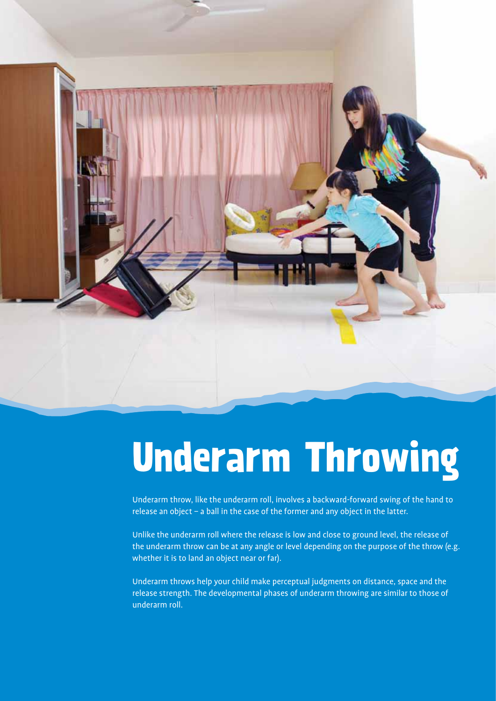

# **Underarm Throwing**

Underarm throw, like the underarm roll, involves a backward-forward swing of the hand to release an object – a ball in the case of the former and any object in the latter.

Unlike the underarm roll where the release is low and close to ground level, the release of the underarm throw can be at any angle or level depending on the purpose of the throw (e.g. whether it is to land an object near or far).

Underarm throws help your child make perceptual judgments on distance, space and the release strength. The developmental phases of underarm throwing are similar to those of underarm roll.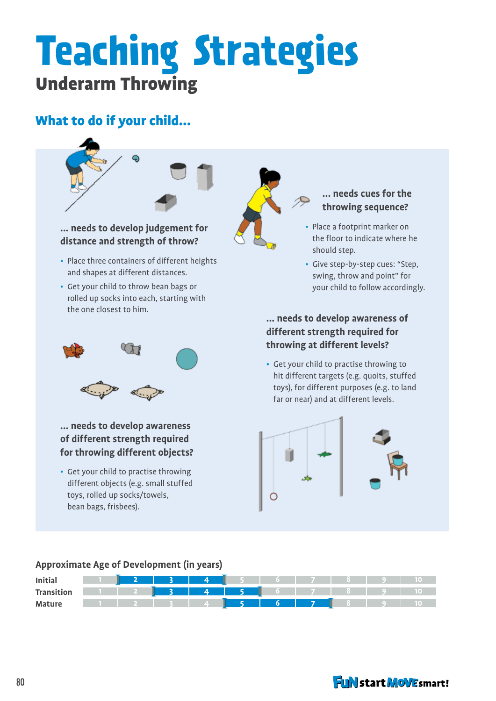### **Teaching Strategies** Underarm Throwing

#### What to do if your child...



### **distance and strength of throw?**

- Place three containers of different heights and shapes at different distances.
- Get your child to throw bean bags or rolled up socks into each, starting with the one closest to him.



**... needs to develop awareness of different strength required for throwing different objects?**

• Get your child to practise throwing different objects (e.g. small stuffed toys, rolled up socks/towels, bean bags, frisbees).

#### **... needs cues for the throwing sequence?**

- Place a footprint marker on the floor to indicate where he should step.
- Give step-by-step cues: "Step, swing, throw and point" for your child to follow accordingly.

**... needs to develop awareness of different strength required for throwing at different levels?**

• Get your child to practise throwing to hit different targets (e.g. quoits, stuffed toys), for different purposes (e.g. to land far or near) and at different levels.



#### **Approximate Age of Development (in years)**



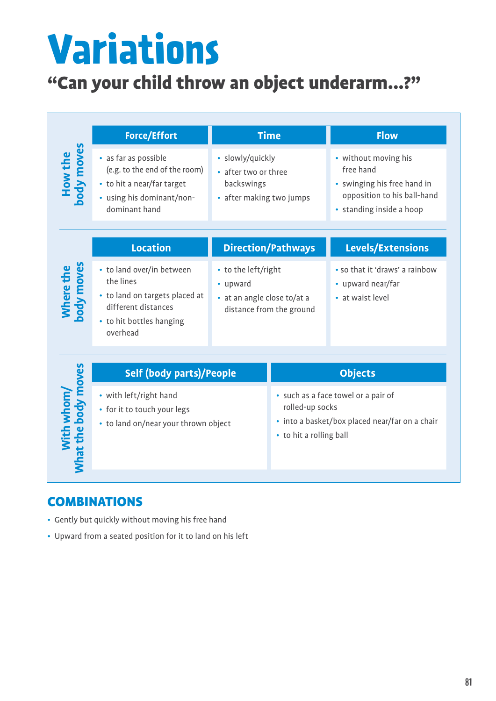## **Variations**

#### "Can your child throw an object underarm...?"

|                                   | <b>Force/Effort</b>                                                                                                                     | <b>Time</b>                                                                                |                                                                                                                                     | <b>Flow</b>                                                                                                                 |
|-----------------------------------|-----------------------------------------------------------------------------------------------------------------------------------------|--------------------------------------------------------------------------------------------|-------------------------------------------------------------------------------------------------------------------------------------|-----------------------------------------------------------------------------------------------------------------------------|
| How the<br>body moves             | • as far as possible<br>(e.g. to the end of the room)<br>• to hit a near/far target<br>• using his dominant/non-<br>dominant hand       | · slowly/quickly<br>• after two or three<br>backswings<br>• after making two jumps         |                                                                                                                                     | • without moving his<br>free hand<br>• swinging his free hand in<br>opposition to his ball-hand<br>• standing inside a hoop |
|                                   | <b>Location</b>                                                                                                                         |                                                                                            | <b>Direction/Pathways</b>                                                                                                           | Levels/Extensions                                                                                                           |
| Where the<br>body moves           | • to land over/in between<br>the lines<br>• to land on targets placed at<br>different distances<br>• to hit bottles hanging<br>overhead | • to the left/right<br>• upward<br>• at an angle close to/at a<br>distance from the ground |                                                                                                                                     | • so that it 'draws' a rainbow<br>• upward near/far<br>• at waist level                                                     |
| With whom/<br>What the body moves | <b>Self (body parts)/People</b>                                                                                                         |                                                                                            | <b>Objects</b>                                                                                                                      |                                                                                                                             |
|                                   | • with left/right hand<br>• for it to touch your legs<br>• to land on/near your thrown object                                           |                                                                                            | • such as a face towel or a pair of<br>rolled-up socks<br>• into a basket/box placed near/far on a chair<br>• to hit a rolling ball |                                                                                                                             |

#### **COMBINATIONS**

- Gently but quickly without moving his free hand
- Upward from a seated position for it to land on his left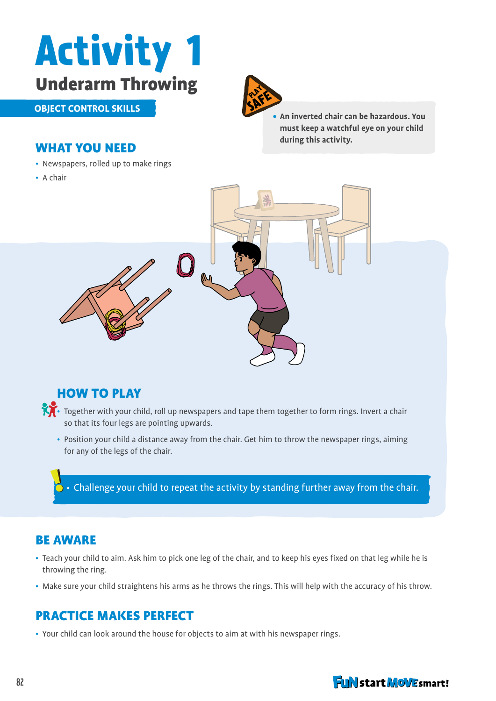

**object control skills**



**• An inverted chair can be hazardous. You must keep a watchful eye on your child during this activity.**

#### What you need

- Newspapers, rolled up to make rings
- A chair



#### **HOW TO PLAY**

• Together with your child, roll up newspapers and tape them together to form rings. Invert a chair so that its four legs are pointing upwards.

• Position your child a distance away from the chair. Get him to throw the newspaper rings, aiming for any of the legs of the chair.

 $\bullet\cdot$  Challenge your child to repeat the activity by standing further away from the chair.

#### Be aware

- Teach your child to aim. Ask him to pick one leg of the chair, and to keep his eyes fixed on that leg while he is throwing the ring.
- Make sure your child straightens his arms as he throws the rings. This will help with the accuracy of his throw.

#### Practice Makes Perfect

• Your child can look around the house for objects to aim at with his newspaper rings.